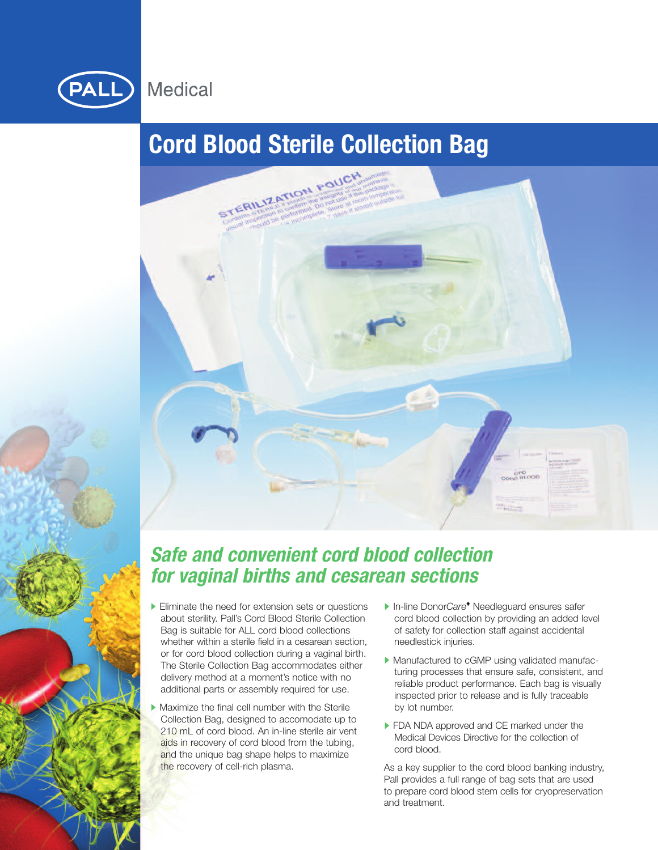

# **Cord Blood Sterile Collection Bag**



# *Safe and convenient cord blood collection for vaginal births and cesarean sections*

- Eliminate the need for extension sets or questions about sterility. Pall's Cord Blood Sterile Collection Bag is suitable for ALL cord blood collections whether within a sterile field in a cesarean section, or for cord blood collection during a vaginal birth. The Sterile Collection Bag accommodates either delivery method at a moment's notice with no additional parts or assembly required for use.
- Maximize the final cell number with the Sterile Collection Bag, designed to accomodate up to 210 mL of cord blood. An in-line sterile air vent aids in recovery of cord blood from the tubing, and the unique bag shape helps to maximize the recovery of cell-rich plasma.
- In-line Donor*Care***◆** Needleguard ensures safer cord blood collection by providing an added level of safety for collection staff against accidental needlestick injuries.
- Manufactured to cGMP using validated manufacturing processes that ensure safe, consistent, and reliable product performance. Each bag is visually inspected prior to release and is fully traceable by lot number.
- **FDA NDA approved and CE marked under the** Medical Devices Directive for the collection of cord blood.

As a key supplier to the cord blood banking industry, Pall provides a full range of bag sets that are used to prepare cord blood stem cells for cryopreservation and treatment.